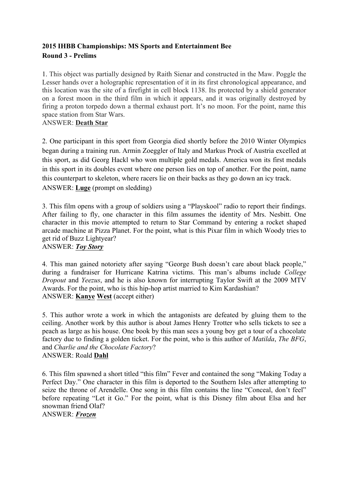# **2015 IHBB Championships: MS Sports and Entertainment Bee Round 3 - Prelims**

1. This object was partially designed by Raith Sienar and constructed in the Maw. Poggle the Lesser hands over a holographic representation of it in its first chronological appearance, and this location was the site of a firefight in cell block 1138. Its protected by a shield generator on a forest moon in the third film in which it appears, and it was originally destroyed by firing a proton torpedo down a thermal exhaust port. It's no moon. For the point, name this space station from Star Wars.

ANSWER: **Death Star**

2. One participant in this sport from Georgia died shortly before the 2010 Winter Olympics began during a training run. Armin Zoeggler of Italy and Markus Prock of Austria excelled at this sport, as did Georg Hackl who won multiple gold medals. America won its first medals in this sport in its doubles event where one person lies on top of another. For the point, name this counterpart to skeleton, where racers lie on their backs as they go down an icy track. ANSWER: **Luge** (prompt on sledding)

3. This film opens with a group of soldiers using a "Playskool" radio to report their findings. After failing to fly, one character in this film assumes the identity of Mrs. Nesbitt. One character in this movie attempted to return to Star Command by entering a rocket shaped arcade machine at Pizza Planet. For the point, what is this Pixar film in which Woody tries to get rid of Buzz Lightyear? ANSWER: *Toy Story*

4. This man gained notoriety after saying "George Bush doesn't care about black people," during a fundraiser for Hurricane Katrina victims. This man's albums include *College Dropout* and *Yeezus*, and he is also known for interrupting Taylor Swift at the 2009 MTV Awards. For the point, who is this hip-hop artist married to Kim Kardashian? ANSWER: **Kanye West** (accept either)

5. This author wrote a work in which the antagonists are defeated by gluing them to the ceiling. Another work by this author is about James Henry Trotter who sells tickets to see a peach as large as his house. One book by this man sees a young boy get a tour of a chocolate factory due to finding a golden ticket. For the point, who is this author of *Matilda*, *The BFG*, and *Charlie and the Chocolate Factory*? ANSWER: Roald **Dahl**

6. This film spawned a short titled "this film" Fever and contained the song "Making Today a Perfect Day." One character in this film is deported to the Southern Isles after attempting to seize the throne of Arendelle. One song in this film contains the line "Conceal, don't feel" before repeating "Let it Go." For the point, what is this Disney film about Elsa and her snowman friend Olaf? ANSWER: *Frozen*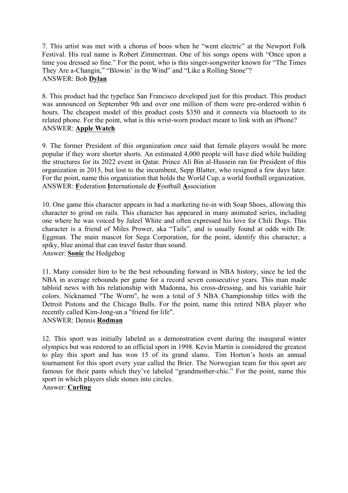7. This artist was met with a chorus of boos when he "went electric" at the Newport Folk Festival. His real name is Robert Zimmerman. One of his songs opens with "Once upon a time you dressed so fine." For the point, who is this singer-songwriter known for "The Times They Are a-Changin," "Blowin' in the Wind" and "Like a Rolling Stone"? ANSWER: Bob **Dylan**

8. This product had the typeface San Francisco developed just for this product. This product was announced on September 9th and over one million of them were pre-ordered within 6 hours. The cheapest model of this product costs \$350 and it connects via bluetooth to its related phone. For the point, what is this wrist-worn product meant to link with an iPhone? ANSWER: **Apple Watch**

9. The former President of this organization once said that female players would be more popular if they wore shorter shorts. An estimated 4,000 people will have died while building the structures for its 2022 event in Qatar. Prince Ali Bin al-Hussein ran for President of this organization in 2015, but lost to the incumbent, Sepp Blatter, who resigned a few days later. For the point, name this organization that holds the World Cup, a world football organization. ANSWER: **F**ederation **I**nternationale de **F**ootball **A**ssociation

10. One game this character appears in had a marketing tie-in with Soap Shoes, allowing this character to grind on rails. This character has appeared in many animated series, including one where he was voiced by Jaleel White and often expressed his love for Chili Dogs. This character is a friend of Miles Prower, aka "Tails", and is usually found at odds with Dr. Eggman. The main mascot for Sega Corporation, for the point, identify this character, a spiky, blue animal that can travel faster than sound. Answer: **Sonic** the Hedgehog

11. Many consider him to be the best rebounding forward in NBA history, since he led the NBA in average rebounds per game for a record seven consecutive years. This man made tabloid news with his relationship with Madonna, his cross-dressing, and his variable hair colors. Nicknamed "The Worm", he won a total of 5 NBA Championship titles with the Detroit Pistons and the Chicago Bulls. For the point, name this retired NBA player who recently called Kim-Jong-un a "friend for life".

### ANSWER: Dennis **Rodman**

12. This sport was initially labeled as a demonstration event during the inaugural winter olympics but was restored to an official sport in 1998. Kevin Martin is considered the greatest to play this sport and has won 15 of its grand slams. Tim Horton's hosts an annual tournament for this sport every year called the Brier. The Norwegian team for this sport are famous for their pants which they've labeled "grandmother-chic." For the point, name this sport in which players slide stones into circles.

Answer: **Curling**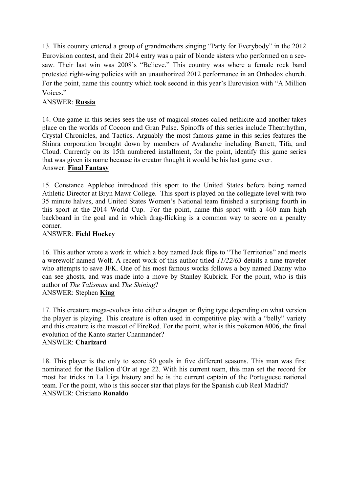13. This country entered a group of grandmothers singing "Party for Everybody" in the 2012 Eurovision contest, and their 2014 entry was a pair of blonde sisters who performed on a seesaw. Their last win was 2008's "Believe." This country was where a female rock band protested right-wing policies with an unauthorized 2012 performance in an Orthodox church. For the point, name this country which took second in this year's Eurovision with "A Million Voices."

## ANSWER: **Russia**

14. One game in this series sees the use of magical stones called nethicite and another takes place on the worlds of Cocoon and Gran Pulse. Spinoffs of this series include Theatrhythm, Crystal Chronicles, and Tactics. Arguably the most famous game in this series features the Shinra corporation brought down by members of Avalanche including Barrett, Tifa, and Cloud. Currently on its 15th numbered installment, for the point, identify this game series that was given its name because its creator thought it would be his last game ever. Answer: **Final Fantasy**

15. Constance Applebee introduced this sport to the United States before being named Athletic Director at Bryn Mawr College. This sport is played on the collegiate level with two 35 minute halves, and United States Women's National team finished a surprising fourth in this sport at the 2014 World Cup. For the point, name this sport with a 460 mm high backboard in the goal and in which drag-flicking is a common way to score on a penalty corner.

#### ANSWER: **Field Hockey**

16. This author wrote a work in which a boy named Jack flips to "The Territories" and meets a werewolf named Wolf. A recent work of this author titled *11/22/63* details a time traveler who attempts to save JFK. One of his most famous works follows a boy named Danny who can see ghosts, and was made into a move by Stanley Kubrick. For the point, who is this author of *The Talisman* and *The Shining*? ANSWER: Stephen **King**

17. This creature mega-evolves into either a dragon or flying type depending on what version the player is playing. This creature is often used in competitive play with a "belly" variety and this creature is the mascot of FireRed. For the point, what is this pokemon #006, the final evolution of the Kanto starter Charmander? ANSWER: **Charizard**

18. This player is the only to score 50 goals in five different seasons. This man was first nominated for the Ballon d'Or at age 22. With his current team, this man set the record for most hat tricks in La Liga history and he is the current captain of the Portuguese national team. For the point, who is this soccer star that plays for the Spanish club Real Madrid? ANSWER: Cristiano **Ronaldo**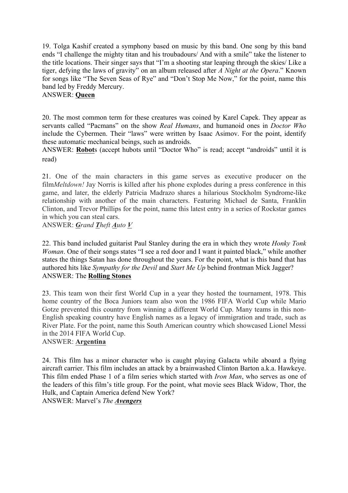19. Tolga Kashif created a symphony based on music by this band. One song by this band ends "I challenge the mighty titan and his troubadours/ And with a smile" take the listener to the title locations. Their singer says that "I'm a shooting star leaping through the skies/ Like a tiger, defying the laws of gravity" on an album released after *A Night at the Opera*." Known for songs like "The Seven Seas of Rye" and "Don't Stop Me Now," for the point, name this band led by Freddy Mercury.

#### ANSWER: **Queen**

20. The most common term for these creatures was coined by Karel Capek. They appear as servants called "Pacmans" on the show *Real Humans*, and humanoid ones in *Doctor Who* include the Cybermen. Their "laws" were written by Isaac Asimov. For the point, identify these automatic mechanical beings, such as androids.

ANSWER: **Robot**s (accept hubots until "Doctor Who" is read; accept "androids" until it is read)

21. One of the main characters in this game serves as executive producer on the film*Meltdown!* Jay Norris is killed after his phone explodes during a press conference in this game, and later, the elderly Patricia Madrazo shares a hilarious Stockholm Syndrome-like relationship with another of the main characters. Featuring Michael de Santa, Franklin Clinton, and Trevor Phillips for the point, name this latest entry in a series of Rockstar games in which you can steal cars.

ANSWER: *Grand Theft Auto V*

22. This band included guitarist Paul Stanley during the era in which they wrote *Honky Tonk Woman*. One of their songs states "I see a red door and I want it painted black," while another states the things Satan has done throughout the years. For the point, what is this band that has authored hits like *Sympathy for the Devil* and *Start Me Up* behind frontman Mick Jagger? ANSWER: The **Rolling Stones**

23. This team won their first World Cup in a year they hosted the tournament, 1978. This home country of the Boca Juniors team also won the 1986 FIFA World Cup while Mario Gotze prevented this country from winning a different World Cup. Many teams in this non-English speaking country have English names as a legacy of immigration and trade, such as River Plate. For the point, name this South American country which showcased Lionel Messi in the 2014 FIFA World Cup.

### ANSWER: **Argentina**

24. This film has a minor character who is caught playing Galacta while aboard a flying aircraft carrier. This film includes an attack by a brainwashed Clinton Barton a.k.a. Hawkeye. This film ended Phase 1 of a film series which started with *Iron Man*, who serves as one of the leaders of this film's title group. For the point, what movie sees Black Widow, Thor, the Hulk, and Captain America defend New York? ANSWER: Marvel's *The Avengers*